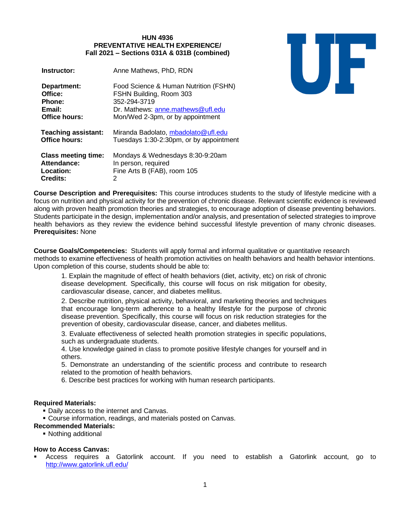# **HUN 4936 PREVENTATIVE HEALTH EXPERIENCE/ Fall 2021 – Sections 031A & 031B (combined)**

| Instructor:                                                        | Anne Mathews, PhD, RDN                                                                 |
|--------------------------------------------------------------------|----------------------------------------------------------------------------------------|
| Department:                                                        | Food Science & Human Nutrition (FSHN)                                                  |
| Office:                                                            | FSHN Building, Room 303                                                                |
| <b>Phone:</b>                                                      | 352-294-3719                                                                           |
| Email:                                                             | Dr. Mathews: anne.mathews@ufl.edu                                                      |
| Office hours:                                                      | Mon/Wed 2-3pm, or by appointment                                                       |
| <b>Teaching assistant:</b>                                         | Miranda Badolato, mbadolato@ufl.edu                                                    |
| <b>Office hours:</b>                                               | Tuesdays 1:30-2:30pm, or by appointment                                                |
| <b>Class meeting time:</b><br>Attendance:<br>Location:<br>Credits: | Mondays & Wednesdays 8:30-9:20am<br>In person, required<br>Fine Arts B (FAB), room 105 |

# UF

**Course Description and Prerequisites:** This course introduces students to the study of lifestyle medicine with a focus on nutrition and physical activity for the prevention of chronic disease. Relevant scientific evidence is reviewed along with proven health promotion theories and strategies, to encourage adoption of disease preventing behaviors. Students participate in the design, implementation and/or analysis, and presentation of selected strategies to improve health behaviors as they review the evidence behind successful lifestyle prevention of many chronic diseases. **Prerequisites:** None

**Course Goals/Competencies:** Students will apply formal and informal qualitative or quantitative research methods to examine effectiveness of health promotion activities on health behaviors and health behavior intentions. Upon completion of this course, students should be able to:

1. Explain the magnitude of effect of health behaviors (diet, activity, etc) on risk of chronic disease development. Specifically, this course will focus on risk mitigation for obesity, cardiovascular disease, cancer, and diabetes mellitus.

2. Describe nutrition, physical activity, behavioral, and marketing theories and techniques that encourage long-term adherence to a healthy lifestyle for the purpose of chronic disease prevention. Specifically, this course will focus on risk reduction strategies for the prevention of obesity, cardiovascular disease, cancer, and diabetes mellitus.

3. Evaluate effectiveness of selected health promotion strategies in specific populations, such as undergraduate students.

4. Use knowledge gained in class to promote positive lifestyle changes for yourself and in others.

5. Demonstrate an understanding of the scientific process and contribute to research related to the promotion of health behaviors.

6. Describe best practices for working with human research participants.

# **Required Materials:**

**• Daily access to the internet and Canvas.** 

**EXEC** Course information, readings, and materials posted on Canvas.

### **Recommended Materials:**

■ Nothing additional

# **How to Access Canvas:**

Access requires a Gatorlink account. If you need to establish a Gatorlink account, go to <http://www.gatorlink.ufl.edu/>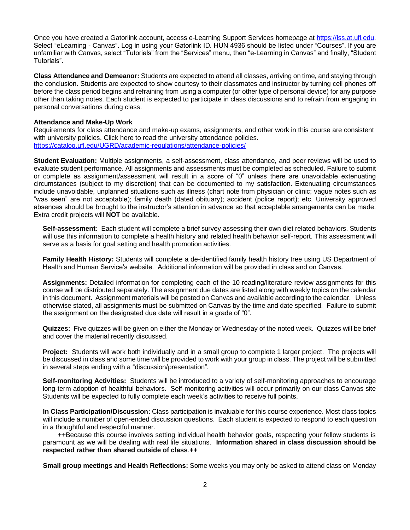Once you have created a Gatorlink account, access e-Learning Support Services homepage at [https://lss.at.ufl.edu.](https://lss.at.ufl.edu/) Select "eLearning - Canvas". Log in using your Gatorlink ID. HUN 4936 should be listed under "Courses". If you are unfamiliar with Canvas, select "Tutorials" from the "Services" menu, then "e-Learning in Canvas" and finally, "Student Tutorials".

**Class Attendance and Demeanor:** Students are expected to attend all classes, arriving on time, and staying through the conclusion. Students are expected to show courtesy to their classmates and instructor by turning cell phones off before the class period begins and refraining from using a computer (or other type of personal device) for any purpose other than taking notes. Each student is expected to participate in class discussions and to refrain from engaging in personal conversations during class.

## **Attendance and Make-Up Work**

Requirements for class attendance and make-up exams, assignments, and other work in this course are consistent with university policies. Click here to read the university attendance policies. <https://catalog.ufl.edu/UGRD/academic-regulations/attendance-policies/>

**Student Evaluation:** Multiple assignments, a self-assessment, class attendance, and peer reviews will be used to evaluate student performance. All assignments and assessments must be completed as scheduled. Failure to submit or complete as assignment/assessment will result in a score of "0" unless there are unavoidable extenuating circumstances (subject to my discretion) that can be documented to my satisfaction. Extenuating circumstances include unavoidable, unplanned situations such as illness (chart note from physician or clinic; vague notes such as "was seen" are not acceptable); family death (dated obituary); accident (police report); etc. University approved absences should be brought to the instructor's attention in advance so that acceptable arrangements can be made. Extra credit projects will **NOT** be available.

**Self-assessment:** Each student will complete a brief survey assessing their own diet related behaviors. Students will use this information to complete a health history and related health behavior self-report. This assessment will serve as a basis for goal setting and health promotion activities.

**Family Health History:** Students will complete a de-identified family health history tree using US Department of Health and Human Service's website. Additional information will be provided in class and on Canvas.

**Assignments:** Detailed information for completing each of the 10 reading/literature review assignments for this course will be distributed separately. The assignment due dates are listed along with weekly topics on the calendar in this document. Assignment materials will be posted on Canvas and available according to the calendar. Unless otherwise stated, all assignments must be submitted on Canvas by the time and date specified. Failure to submit the assignment on the designated due date will result in a grade of "0".

**Quizzes:** Five quizzes will be given on either the Monday or Wednesday of the noted week. Quizzes will be brief and cover the material recently discussed.

**Project:** Students will work both individually and in a small group to complete 1 larger project. The projects will be discussed in class and some time will be provided to work with your group in class. The project will be submitted in several steps ending with a "discussion/presentation".

**Self-monitoring Activities:** Students will be introduced to a variety of self-monitoring approaches to encourage long-term adoption of healthful behaviors. Self-monitoring activities will occur primarily on our class Canvas site Students will be expected to fully complete each week's activities to receive full points.

**In Class Participation/Discussion:** Class participation is invaluable for this course experience. Most class topics will include a number of open-ended discussion questions. Each student is expected to respond to each question in a thoughtful and respectful manner.

**++**Because this course involves setting individual health behavior goals, respecting your fellow students is paramount as we will be dealing with real life situations. **Information shared in class discussion should be respected rather than shared outside of class**.**++**

**Small group meetings and Health Reflections:** Some weeks you may only be asked to attend class on Monday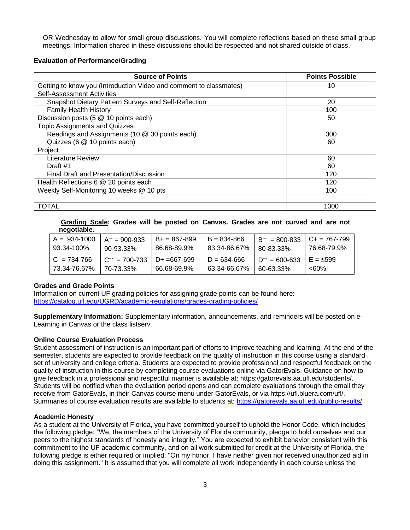OR Wednesday to allow for small group discussions. You will complete reflections based on these small group meetings. Information shared in these discussions should be respected and not shared outside of class.

# **Evaluation of Performance/Grading**

| <b>Source of Points</b>                                            | <b>Points Possible</b> |
|--------------------------------------------------------------------|------------------------|
| Getting to know you (Introduction Video and comment to classmates) | 10                     |
| <b>Self-Assessment Activities</b>                                  |                        |
| Snapshot Dietary Pattern Surveys and Self-Reflection               | 20                     |
| <b>Family Health History</b>                                       | 100                    |
| Discussion posts (5 @ 10 points each)                              | 50                     |
| <b>Topic Assignments and Quizzes</b>                               |                        |
| Readings and Assignments (10 @ 30 points each)                     | 300                    |
| Quizzes (6 @ 10 points each)                                       | 60                     |
| Project                                                            |                        |
| <b>Literature Review</b>                                           | 60                     |
| Draft #1                                                           | 60                     |
| Final Draft and Presentation/Discussion                            | 120                    |
| Health Reflections 6 @ 20 points each                              | 120                    |
| Weekly Self-Monitoring 10 weeks @ 10 pts                           | 100                    |
|                                                                    |                        |
| <b>TOTAL</b>                                                       | 1000                   |

### **Grading Scale: Grades will be posted on Canvas. Grades are not curved and are not negotiable.**

| $A = 934 - 1000$ | $A^{-}$ = 900-933  | $B+ = 867-899$   | $B = 834 - 866$ | $B^{-}$ = 800-833   C+ = 767-799 | 76.68-79.9% |
|------------------|--------------------|------------------|-----------------|----------------------------------|-------------|
| 93.34-100%       | 90-93.33%          | 86.68-89.9%      | 83.34-86.67%    | 80-83.33%                        |             |
| $C = 734 - 766$  | $C^{-1}$ = 700-733 | $D+ = 667 - 699$ | $D = 634 - 666$ | $D^{-}$ = 600-633                | $E = 599$   |
| 73.34-76.67%     | 70-73.33%          | 66.68-69.9%      | 63.34-66.67%    | 60-63.33%                        | <60%        |

# **Grades and Grade Points**

Information on current UF grading policies for assigning grade points can be found here: <https://catalog.ufl.edu/UGRD/academic-regulations/grades-grading-policies/>

**Supplementary Information:** Supplementary information, announcements, and reminders will be posted on e-Learning in Canvas or the class listserv.

# **Online Course Evaluation Process**

Student assessment of instruction is an important part of efforts to improve teaching and learning. At the end of the semester, students are expected to provide feedback on the quality of instruction in this course using a standard set of university and college criteria. Students are expected to provide professional and respectful feedback on the quality of instruction in this course by completing course evaluations online via GatorEvals. Guidance on how to give feedback in a professional and respectful manner is available at: https://gatorevals.aa.ufl.edu/students/. Students will be notified when the evaluation period opens and can complete evaluations through the email they receive from GatorEvals, in their Canvas course menu under GatorEvals, or via https://ufl.bluera.com/ufl/. Summaries of course evaluation results are available to students at: [https://gatorevals.aa.ufl.edu/public-results/.](https://gatorevals.aa.ufl.edu/public-results/)

# **Academic Honesty**

As a student at the University of Florida, you have committed yourself to uphold the Honor Code, which includes the following pledge: "We, the members of the University of Florida community, pledge to hold ourselves and our peers to the highest standards of honesty and integrity." You are expected to exhibit behavior consistent with this commitment to the UF academic community, and on all work submitted for credit at the University of Florida, the following pledge is either required or implied: "On my honor, I have neither given nor received unauthorized aid in doing this assignment." It is assumed that you will complete all work independently in each course unless the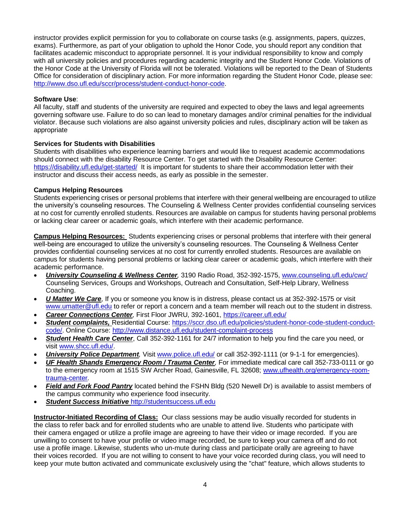instructor provides explicit permission for you to collaborate on course tasks (e.g. assignments, papers, quizzes, exams). Furthermore, as part of your obligation to uphold the Honor Code, you should report any condition that facilitates academic misconduct to appropriate personnel. It is your individual responsibility to know and comply with all university policies and procedures regarding academic integrity and the Student Honor Code. Violations of the Honor Code at the University of Florida will not be tolerated. Violations will be reported to the Dean of Students Office for consideration of disciplinary action. For more information regarding the Student Honor Code, please see: [http://www.dso.ufl.edu/sccr/process/student-conduct-honor-code.](http://www.dso.ufl.edu/sccr/process/student-conduct-honor-code)

# **Software Use**:

All faculty, staff and students of the university are required and expected to obey the laws and legal agreements governing software use. Failure to do so can lead to monetary damages and/or criminal penalties for the individual violator. Because such violations are also against university policies and rules, disciplinary action will be taken as appropriate

# **Services for Students with Disabilities**

Students with disabilities who experience learning barriers and would like to request academic accommodations should connect with the disability Resource Center. To get started with the Disability Resource Center: <https://disability.ufl.edu/get-started/>It is important for students to share their accommodation letter with their instructor and discuss their access needs, as early as possible in the semester.

# **Campus Helping Resources**

Students experiencing crises or personal problems that interfere with their general wellbeing are encouraged to utilize the university's counseling resources. The Counseling & Wellness Center provides confidential counseling services at no cost for currently enrolled students. Resources are available on campus for students having personal problems or lacking clear career or academic goals, which interfere with their academic performance.

**Campus Helping Resources:** Students experiencing crises or personal problems that interfere with their general well-being are encouraged to utilize the university's counseling resources. The Counseling & Wellness Center provides confidential counseling services at no cost for currently enrolled students. Resources are available on campus for students having personal problems or lacking clear career or academic goals, which interfere with their academic performance.

- *University Counseling & Wellness Center,* 3190 Radio Road, 352-392-1575, [www.counseling.ufl.edu/cwc/](file:///C:/Users/henken/Documents/New%20courses/www.counseling.ufl.edu/cwc/) Counseling Services, Groups and Workshops, Outreach and Consultation, Self-Help Library, Wellness Coaching.
- *U Matter We Care*, If you or someone you know is in distress, please contact us at 352-392-1575 or visit [www.umatter@ufl.edu](file:///C:/Users/henken/Documents/New%20courses/www.umatter@ufl.edu) to refer or report a concern and a team member will reach out to the student in distress.
- *Career Connections Center,* First Floor JWRU, 392-1601,<https://career.ufl.edu/>
- *Student complaints,* Residential Course: [https://sccr.dso.ufl.edu/policies/student-honor-code-student-conduct](https://sccr.dso.ufl.edu/policies/student-honor-code-student-conduct-code/)[code/.](https://sccr.dso.ufl.edu/policies/student-honor-code-student-conduct-code/) Online Course:<http://www.distance.ufl.edu/student-complaint-process>
- *Student Health Care Center*, Call 352-392-1161 for 24/7 information to help you find the care you need, or visit [www.shcc.ufl.edu/.](file:///C:/Users/henken/Documents/New%20courses/www.shcc.ufl.edu/)
- *University Police Department,* Visi[t www.police.ufl.edu/](file:///C:/Users/henken/Documents/New%20courses/www.police.ufl.edu/) or call 352-392-1111 (or 9-1-1 for emergencies).
- *UF Health Shands Emergency Room / Trauma Center,* For immediate medical care call 352-733-0111 or go to the emergency room at 1515 SW Archer Road, Gainesville, FL 32608; [www.ufhealth.org/emergency-room](file:///C:/Users/henken/Documents/New%20courses/www.ufhealth.org/emergency-room-trauma-center)[trauma-center](file:///C:/Users/henken/Documents/New%20courses/www.ufhealth.org/emergency-room-trauma-center)*.*
- **Field and Fork Food Pantry** located behind the FSHN Bldg (520 Newell Dr) is available to assist members of the campus community who experience food insecurity.
- *Student Success Initiative* [http://studentsuccess.ufl.edu](http://studentsuccess.ufl.edu/)

**Instructor-Initiated Recording of Class:** Our class sessions may be audio visually recorded for students in the class to refer back and for enrolled students who are unable to attend live. Students who participate with their camera engaged or utilize a profile image are agreeing to have their video or image recorded. If you are unwilling to consent to have your profile or video image recorded, be sure to keep your camera off and do not use a profile image. Likewise, students who un-mute during class and participate orally are agreeing to have their voices recorded. If you are not willing to consent to have your voice recorded during class, you will need to keep your mute button activated and communicate exclusively using the "chat" feature, which allows students to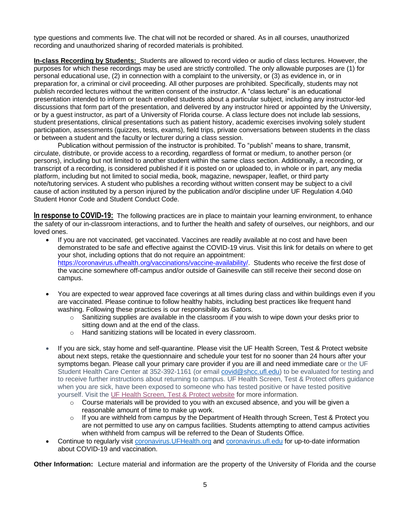type questions and comments live. The chat will not be recorded or shared. As in all courses, unauthorized recording and unauthorized sharing of recorded materials is prohibited.

**In-class Recording by Students:** Students are allowed to record video or audio of class lectures. However, the purposes for which these recordings may be used are strictly controlled. The only allowable purposes are (1) for personal educational use, (2) in connection with a complaint to the university, or (3) as evidence in, or in preparation for, a criminal or civil proceeding. All other purposes are prohibited. Specifically, students may not publish recorded lectures without the written consent of the instructor. A "class lecture" is an educational presentation intended to inform or teach enrolled students about a particular subject, including any instructor-led discussions that form part of the presentation, and delivered by any instructor hired or appointed by the University, or by a guest instructor, as part of a University of Florida course. A class lecture does not include lab sessions, student presentations, clinical presentations such as patient history, academic exercises involving solely student participation, assessments (quizzes, tests, exams), field trips, private conversations between students in the class or between a student and the faculty or lecturer during a class session.

Publication without permission of the instructor is prohibited. To "publish" means to share, transmit, circulate, distribute, or provide access to a recording, regardless of format or medium, to another person (or persons), including but not limited to another student within the same class section. Additionally, a recording, or transcript of a recording, is considered published if it is posted on or uploaded to, in whole or in part, any media platform, including but not limited to social media, book, magazine, newspaper, leaflet, or third party note/tutoring services. A student who publishes a recording without written consent may be subject to a civil cause of action instituted by a person injured by the publication and/or discipline under UF Regulation 4.040 Student Honor Code and Student Conduct Code.

**In response to COVID-19:** The following practices are in place to maintain your learning environment, to enhance the safety of our in-classroom interactions, and to further the health and safety of ourselves, our neighbors, and our loved ones.

- If you are not vaccinated, get vaccinated. Vaccines are readily available at no cost and have been demonstrated to be safe and effective against the COVID-19 virus. Visit this link for details on where to get your shot, including options that do not require an appointment: [https://coronavirus.ufhealth.org/vaccinations/vaccine-availability/.](https://coronavirus.ufhealth.org/vaccinations/vaccine-availability/) Students who receive the first dose of the vaccine somewhere off-campus and/or outside of Gainesville can still receive their second dose on campus.
- You are expected to wear approved face coverings at all times during class and within buildings even if you are vaccinated. Please continue to follow healthy habits, including best practices like frequent hand washing. Following these practices is our responsibility as Gators.
	- $\circ$  Sanitizing supplies are available in the classroom if you wish to wipe down your desks prior to sitting down and at the end of the class.
	- o Hand sanitizing stations will be located in every classroom.
- If you are sick, stay home and self-quarantine. Please visit the UF Health Screen, Test & Protect website about next steps, retake the questionnaire and schedule your test for no sooner than 24 hours after your symptoms began. Please call your primary care provider if you are ill and need immediate care or the UF Student Health Care Center at 352-392-1161 (or email [covid@shcc.ufl.edu\)](mailto:covid@shcc.ufl.edu) to be evaluated for testing and to receive further instructions about returning to campus. UF Health Screen, Test & Protect offers guidance when you are sick, have been exposed to someone who has tested positive or have tested positive yourself. Visit the [UF Health Screen, Test & Protect website](https://click.info.gator360.ufl.edu/?qs=8f0d5e01a3f7385148f144e2089093522a358a8d85cb9db73c31675d3c5e5c0d27748d40c212f544822551342f1912ea5b4f2b890d5952e8) for more information.
	- $\circ$  Course materials will be provided to you with an excused absence, and you will be given a reasonable amount of time to make up work.
	- $\circ$  If you are withheld from campus by the Department of Health through Screen, Test & Protect you are not permitted to use any on campus facilities. Students attempting to attend campus activities when withheld from campus will be referred to the Dean of Students Office.
- Continue to regularly visit [coronavirus.UFHealth.org](http://coronavirus.ufhealth.org/) and [coronavirus.ufl.edu](http://coronavirus.ufl.edu/) for up-to-date information about COVID-19 and vaccination.

**Other Information:** Lecture material and information are the property of the University of Florida and the course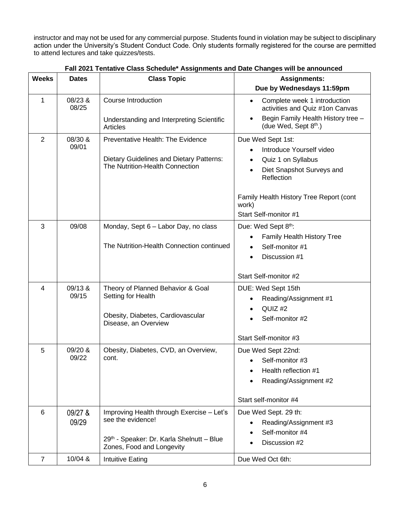instructor and may not be used for any commercial purpose. Students found in violation may be subject to disciplinary action under the University's Student Conduct Code. Only students formally registered for the course are permitted to attend lectures and take quizzes/tests.

| <b>Weeks</b>   | <b>Dates</b>     | <b>Class Topic</b>                                                                                                                       | <b>Assignments:</b><br>Due by Wednesdays 11:59pm                                                                                                                                                         |
|----------------|------------------|------------------------------------------------------------------------------------------------------------------------------------------|----------------------------------------------------------------------------------------------------------------------------------------------------------------------------------------------------------|
| $\mathbf{1}$   | 08/23 &<br>08/25 | <b>Course Introduction</b><br>Understanding and Interpreting Scientific<br>Articles                                                      | Complete week 1 introduction<br>$\bullet$<br>activities and Quiz #1on Canvas<br>Begin Family Health History tree -<br>(due Wed, Sept 8 <sup>th</sup> .)                                                  |
| $\overline{2}$ | 08/30 &<br>09/01 | Preventative Health: The Evidence<br>Dietary Guidelines and Dietary Patterns:<br>The Nutrition-Health Connection                         | Due Wed Sept 1st:<br>Introduce Yourself video<br>Quiz 1 on Syllabus<br>Diet Snapshot Surveys and<br>$\bullet$<br>Reflection<br>Family Health History Tree Report (cont<br>work)<br>Start Self-monitor #1 |
| 3              | 09/08            | Monday, Sept 6 - Labor Day, no class<br>The Nutrition-Health Connection continued                                                        | Due: Wed Sept 8th:<br>Family Health History Tree<br>Self-monitor #1<br>Discussion #1<br>Start Self-monitor #2                                                                                            |
| $\overline{4}$ | 09/13 &<br>09/15 | Theory of Planned Behavior & Goal<br>Setting for Health<br>Obesity, Diabetes, Cardiovascular<br>Disease, an Overview                     | DUE: Wed Sept 15th<br>Reading/Assignment #1<br>QUIZ <sub>#2</sub><br>Self-monitor #2<br>Start Self-monitor #3                                                                                            |
| 5              | 09/20 &<br>09/22 | Obesity, Diabetes, CVD, an Overview,<br>cont.                                                                                            | Due Wed Sept 22nd:<br>Self-monitor #3<br>Health reflection #1<br>Reading/Assignment #2<br>Start self-monitor #4                                                                                          |
| 6              | 09/27 &<br>09/29 | Improving Health through Exercise - Let's<br>see the evidence!<br>29th - Speaker: Dr. Karla Shelnutt - Blue<br>Zones, Food and Longevity | Due Wed Sept. 29 th:<br>Reading/Assignment #3<br>Self-monitor #4<br>Discussion #2                                                                                                                        |
| $\overline{7}$ | 10/04 &          | Intuitive Eating                                                                                                                         | Due Wed Oct 6th:                                                                                                                                                                                         |

 **Fall 2021 Tentative Class Schedule\* Assignments and Date Changes will be announced**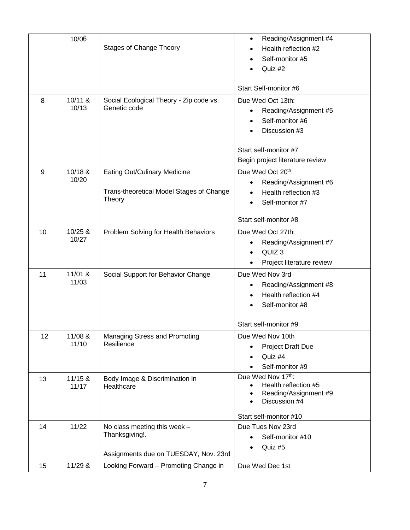|    | 10/06   | <b>Stages of Change Theory</b>           | Reading/Assignment #4<br>$\bullet$<br>Health reflection #2 |
|----|---------|------------------------------------------|------------------------------------------------------------|
|    |         |                                          | Self-monitor #5                                            |
|    |         |                                          | Quiz #2                                                    |
|    |         |                                          |                                                            |
|    |         |                                          | Start Self-monitor #6                                      |
| 8  | 10/11 & | Social Ecological Theory - Zip code vs.  | Due Wed Oct 13th:                                          |
|    | 10/13   | Genetic code                             | Reading/Assignment #5<br>$\bullet$                         |
|    |         |                                          | Self-monitor #6                                            |
|    |         |                                          | Discussion #3                                              |
|    |         |                                          |                                                            |
|    |         |                                          | Start self-monitor #7                                      |
|    |         |                                          | Begin project literature review                            |
| 9  | 10/18 & | <b>Eating Out/Culinary Medicine</b>      | Due Wed Oct 20th:                                          |
|    | 10/20   |                                          | Reading/Assignment #6<br>$\bullet$                         |
|    |         | Trans-theoretical Model Stages of Change | Health reflection #3<br>$\bullet$                          |
|    |         | Theory                                   | Self-monitor #7<br>$\bullet$                               |
|    |         |                                          |                                                            |
|    |         |                                          | Start self-monitor #8                                      |
| 10 | 10/25 & | Problem Solving for Health Behaviors     | Due Wed Oct 27th:                                          |
|    | 10/27   |                                          | Reading/Assignment #7                                      |
|    |         |                                          | QUIZ <sub>3</sub>                                          |
|    |         |                                          | Project literature review                                  |
| 11 | 11/01 & | Social Support for Behavior Change       | Due Wed Nov 3rd                                            |
|    | 11/03   |                                          | Reading/Assignment #8                                      |
|    |         |                                          | Health reflection #4                                       |
|    |         |                                          | Self-monitor #8                                            |
|    |         |                                          |                                                            |
|    |         |                                          | Start self-monitor #9                                      |
| 12 | 11/08 & | Managing Stress and Promoting            | Due Wed Nov 10th                                           |
|    | 11/10   | Resilience                               | <b>Project Draft Due</b>                                   |
|    |         |                                          | Quiz #4<br>$\bullet$                                       |
|    |         |                                          | Self-monitor #9<br>$\bullet$                               |
| 13 | 11/15 & | Body Image & Discrimination in           | Due Wed Nov 17th:                                          |
|    | 11/17   | Healthcare                               | Health reflection #5                                       |
|    |         |                                          | Reading/Assignment #9                                      |
|    |         |                                          | Discussion #4<br>$\bullet$                                 |
|    |         |                                          | Start self-monitor #10                                     |
| 14 | 11/22   | No class meeting this week -             | Due Tues Nov 23rd                                          |
|    |         | Thanksgiving!.                           | Self-monitor #10                                           |
|    |         | Assignments due on TUESDAY, Nov. 23rd    | Quiz #5<br>$\bullet$                                       |
| 15 | 11/29 & | Looking Forward - Promoting Change in    | Due Wed Dec 1st                                            |